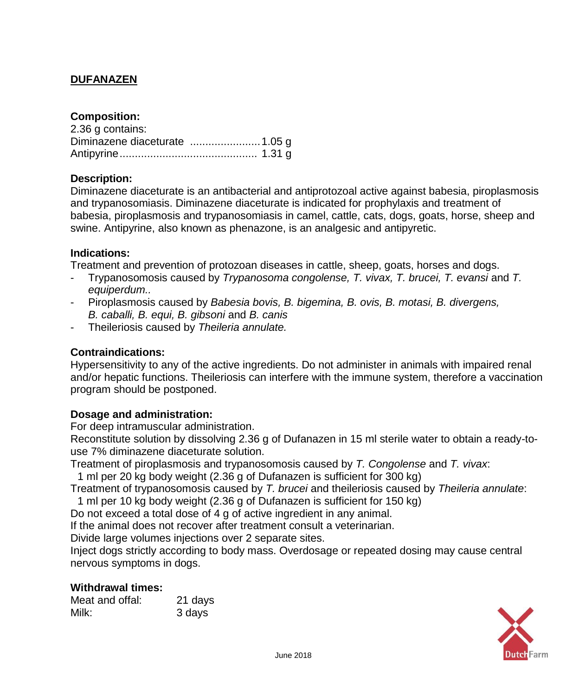# **DUFANAZEN**

## **Composition:**

| 2.36 g contains: |  |
|------------------|--|
|                  |  |
|                  |  |

## **Description:**

Diminazene diaceturate is an antibacterial and antiprotozoal active against babesia, piroplasmosis and trypanosomiasis. Diminazene diaceturate is indicated for prophylaxis and treatment of babesia, piroplasmosis and trypanosomiasis in camel, cattle, cats, dogs, goats, horse, sheep and swine. Antipyrine, also known as phenazone, is an analgesic and antipyretic.

### **Indications:**

Treatment and prevention of protozoan diseases in cattle, sheep, goats, horses and dogs.

- Trypanosomosis caused by *Trypanosoma congolense, T. vivax, T. brucei, T. evansi* and *T. equiperdum..*
- Piroplasmosis caused by *Babesia bovis, B. bigemina, B. ovis, B. motasi, B. divergens, B. caballi, B. equi, B. gibsoni* and *B. canis*
- Theileriosis caused by *Theileria annulate.*

### **Contraindications:**

Hypersensitivity to any of the active ingredients. Do not administer in animals with impaired renal and/or hepatic functions. Theileriosis can interfere with the immune system, therefore a vaccination program should be postponed.

### **Dosage and administration:**

For deep intramuscular administration.

Reconstitute solution by dissolving 2.36 g of Dufanazen in 15 ml sterile water to obtain a ready-touse 7% diminazene diaceturate solution.

Treatment of piroplasmosis and trypanosomosis caused by *T. Congolense* and *T. vivax*:

1 ml per 20 kg body weight (2.36 g of Dufanazen is sufficient for 300 kg)

Treatment of trypanosomosis caused by *T. brucei* and theileriosis caused by *Theileria annulate*:

1 ml per 10 kg body weight (2.36 g of Dufanazen is sufficient for 150 kg)

Do not exceed a total dose of 4 g of active ingredient in any animal.

If the animal does not recover after treatment consult a veterinarian.

Divide large volumes injections over 2 separate sites.

Inject dogs strictly according to body mass. Overdosage or repeated dosing may cause central nervous symptoms in dogs.

### **Withdrawal times:**

| Meat and offal: | 21 days |
|-----------------|---------|
| Milk:           | 3 days  |